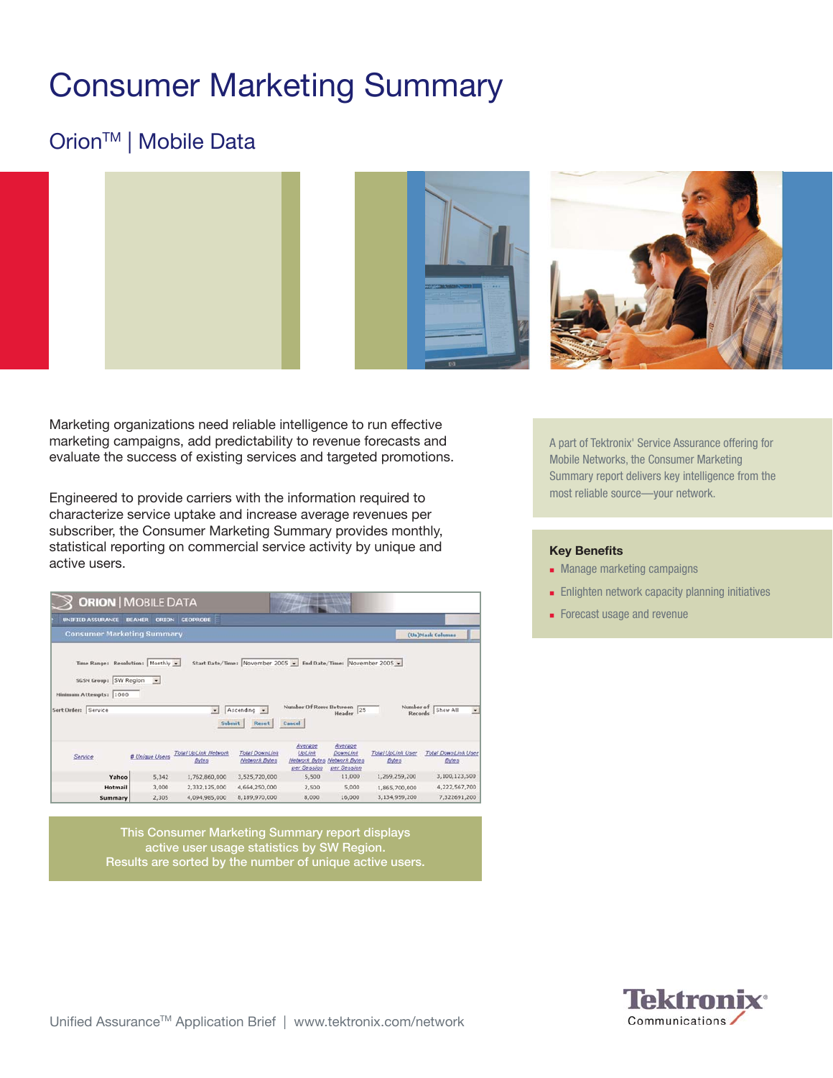# Consumer Marketing Summary

## Orion<sup>™</sup> | Mobile Data





Marketing organizations need reliable intelligence to run effective marketing campaigns, add predictability to revenue forecasts and evaluate the success of existing services and targeted promotions.

Engineered to provide carriers with the information required to characterize service uptake and increase average revenues per subscriber, the Consumer Marketing Summary provides monthly, statistical reporting on commercial service activity by unique and active users.

|                                                                                                          | <b>ORION   MOBILE DATA</b>    |                                             |                                                                                         |                                                          |                                                                   |                                          |                                                              |  |
|----------------------------------------------------------------------------------------------------------|-------------------------------|---------------------------------------------|-----------------------------------------------------------------------------------------|----------------------------------------------------------|-------------------------------------------------------------------|------------------------------------------|--------------------------------------------------------------|--|
| <b>UNIFIED ASSURANCE</b>                                                                                 | <b>BEAMER</b><br><b>ORION</b> | <b>GEOPROBE</b>                             |                                                                                         |                                                          |                                                                   |                                          |                                                              |  |
| <b>Consumer Marketing Summary</b>                                                                        |                               |                                             |                                                                                         |                                                          |                                                                   |                                          | (Un)Mask Columns                                             |  |
| <b>Time Range: Resolution:</b><br>SGSN Group: SW Region<br>Minimum Attempts: 1000<br>Sort Order: Service | Monthly -<br>$\cdot$          | $\left  \frac{1}{2} \right $<br>Submit      | Start Date/Time: November 2005 - End Date/Time: November 2005 -<br>Ascending -<br>Reset | Number Of Rows Between<br>Cancel                         | 25<br>Header                                                      | Number of<br>Records                     | Show All<br>×                                                |  |
|                                                                                                          |                               |                                             |                                                                                         |                                                          |                                                                   |                                          |                                                              |  |
| Service                                                                                                  | <b># Unique Users</b>         | <b>Total UpLink Network</b><br><b>Bytes</b> | <b>Total DownLink</b><br>Network Bytes                                                  | Average<br><b>UgLink</b><br>Network Bytes<br>per Session | Avergge<br><b>DownLink</b><br><b>Network Bytes</b><br>per Session | <b>Total UpLink User</b><br><b>Bytes</b> | <b>Bytes</b>                                                 |  |
| Yahoo                                                                                                    | 5,342                         | 1,762,860,000                               | 3,525,720,000                                                                           | 5,500                                                    | 11,000                                                            | 1,269,259,200                            |                                                              |  |
| Hotmail                                                                                                  | 3,000                         | 2,332,125,000                               | 4,664,250,000                                                                           | 2,500                                                    | 5,000                                                             | 1,865,700,000                            | <b>Total DownLink User</b><br>3,100,123,500<br>4,222,567,700 |  |

This Consumer Marketing Summary report displays active user usage statistics by SW Region. Results are sorted by the number of unique active users. A part of Tektronix' Service Assurance offering for Mobile Networks, the Consumer Marketing Summary report delivers key intelligence from the most reliable source—your network.

#### **Key Benefits**

- **Manage marketing campaigns**
- **Enlighten network capacity planning initiatives**
- Forecast usage and revenue